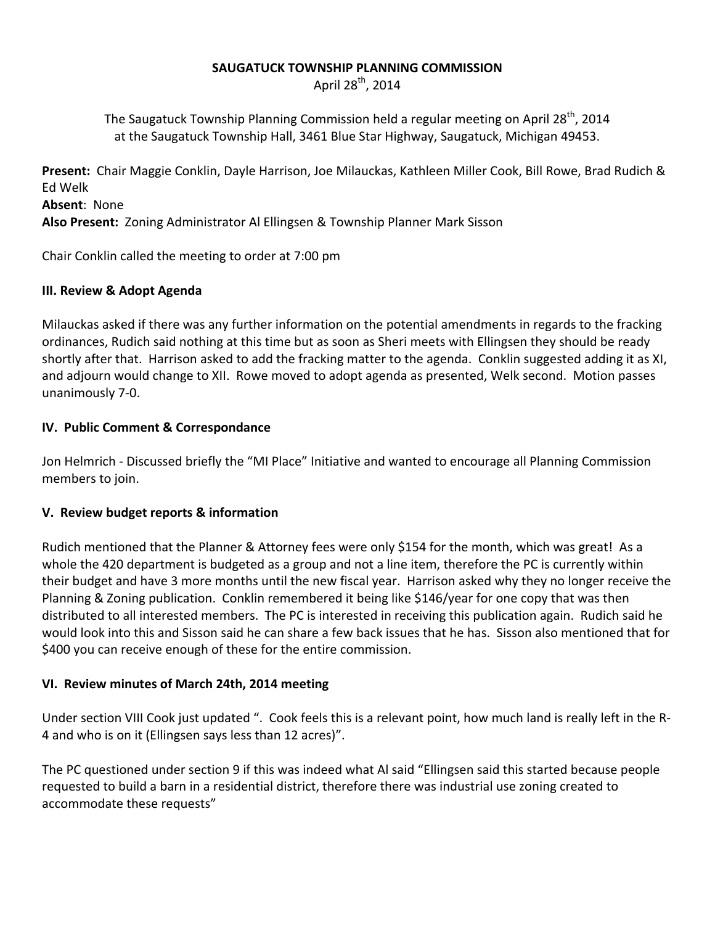#### **SAUGATUCK TOWNSHIP PLANNING COMMISSION**

April 28<sup>th</sup>, 2014

The Saugatuck Township Planning Commission held a regular meeting on April 28<sup>th</sup>, 2014 at the Saugatuck Township Hall, 3461 Blue Star Highway, Saugatuck, Michigan 49453.

**Present:** Chair Maggie Conklin, Dayle Harrison, Joe Milauckas, Kathleen Miller Cook, Bill Rowe, Brad Rudich & Ed Welk

**Absent**: None

**Also Present:** Zoning Administrator Al Ellingsen & Township Planner Mark Sisson

Chair Conklin called the meeting to order at 7:00 pm

#### **III. Review & Adopt Agenda**

Milauckas asked if there was any further information on the potential amendments in regards to the fracking ordinances, Rudich said nothing at this time but as soon as Sheri meets with Ellingsen they should be ready shortly after that. Harrison asked to add the fracking matter to the agenda. Conklin suggested adding it as XI, and adjourn would change to XII. Rowe moved to adopt agenda as presented, Welk second. Motion passes unanimously 7-0.

#### **IV. Public Comment & Correspondance**

Jon Helmrich - Discussed briefly the "MI Place" Initiative and wanted to encourage all Planning Commission members to join.

## **V. Review budget reports & information**

Rudich mentioned that the Planner & Attorney fees were only \$154 for the month, which was great! As a whole the 420 department is budgeted as a group and not a line item, therefore the PC is currently within their budget and have 3 more months until the new fiscal year. Harrison asked why they no longer receive the Planning & Zoning publication. Conklin remembered it being like \$146/year for one copy that was then distributed to all interested members. The PC is interested in receiving this publication again. Rudich said he would look into this and Sisson said he can share a few back issues that he has. Sisson also mentioned that for \$400 you can receive enough of these for the entire commission.

## **VI. Review minutes of March 24th, 2014 meeting**

Under section VIII Cook just updated ". Cook feels this is a relevant point, how much land is really left in the R-4 and who is on it (Ellingsen says less than 12 acres)".

The PC questioned under section 9 if this was indeed what Al said "Ellingsen said this started because people requested to build a barn in a residential district, therefore there was industrial use zoning created to accommodate these requests"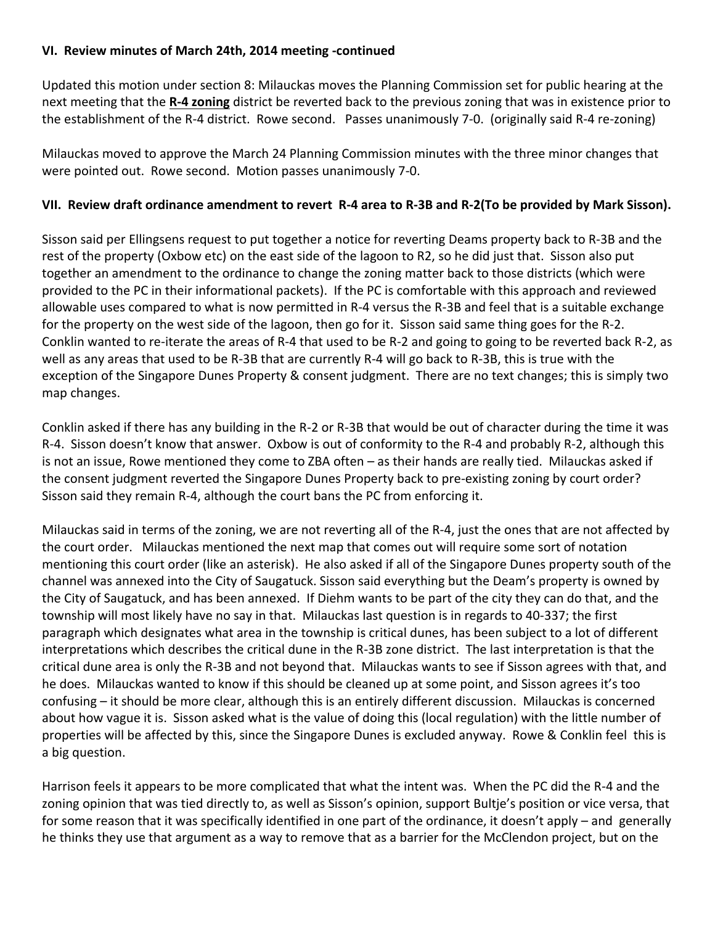#### **VI. Review minutes of March 24th, 2014 meeting -continued**

Updated this motion under section 8: Milauckas moves the Planning Commission set for public hearing at the next meeting that the **R-4 zoning** district be reverted back to the previous zoning that was in existence prior to the establishment of the R-4 district. Rowe second. Passes unanimously 7-0. (originally said R-4 re-zoning)

Milauckas moved to approve the March 24 Planning Commission minutes with the three minor changes that were pointed out. Rowe second. Motion passes unanimously 7-0.

## **VII. Review draft ordinance amendment to revert R-4 area to R-3B and R-2(To be provided by Mark Sisson).**

Sisson said per Ellingsens request to put together a notice for reverting Deams property back to R-3B and the rest of the property (Oxbow etc) on the east side of the lagoon to R2, so he did just that. Sisson also put together an amendment to the ordinance to change the zoning matter back to those districts (which were provided to the PC in their informational packets). If the PC is comfortable with this approach and reviewed allowable uses compared to what is now permitted in R-4 versus the R-3B and feel that is a suitable exchange for the property on the west side of the lagoon, then go for it. Sisson said same thing goes for the R-2. Conklin wanted to re-iterate the areas of R-4 that used to be R-2 and going to going to be reverted back R-2, as well as any areas that used to be R-3B that are currently R-4 will go back to R-3B, this is true with the exception of the Singapore Dunes Property & consent judgment. There are no text changes; this is simply two map changes.

Conklin asked if there has any building in the R-2 or R-3B that would be out of character during the time it was R-4. Sisson doesn't know that answer. Oxbow is out of conformity to the R-4 and probably R-2, although this is not an issue, Rowe mentioned they come to ZBA often – as their hands are really tied. Milauckas asked if the consent judgment reverted the Singapore Dunes Property back to pre-existing zoning by court order? Sisson said they remain R-4, although the court bans the PC from enforcing it.

Milauckas said in terms of the zoning, we are not reverting all of the R-4, just the ones that are not affected by the court order. Milauckas mentioned the next map that comes out will require some sort of notation mentioning this court order (like an asterisk). He also asked if all of the Singapore Dunes property south of the channel was annexed into the City of Saugatuck. Sisson said everything but the Deam's property is owned by the City of Saugatuck, and has been annexed. If Diehm wants to be part of the city they can do that, and the township will most likely have no say in that. Milauckas last question is in regards to 40-337; the first paragraph which designates what area in the township is critical dunes, has been subject to a lot of different interpretations which describes the critical dune in the R-3B zone district. The last interpretation is that the critical dune area is only the R-3B and not beyond that. Milauckas wants to see if Sisson agrees with that, and he does. Milauckas wanted to know if this should be cleaned up at some point, and Sisson agrees it's too confusing – it should be more clear, although this is an entirely different discussion. Milauckas is concerned about how vague it is. Sisson asked what is the value of doing this (local regulation) with the little number of properties will be affected by this, since the Singapore Dunes is excluded anyway. Rowe & Conklin feel this is a big question.

Harrison feels it appears to be more complicated that what the intent was. When the PC did the R-4 and the zoning opinion that was tied directly to, as well as Sisson's opinion, support Bultje's position or vice versa, that for some reason that it was specifically identified in one part of the ordinance, it doesn't apply – and generally he thinks they use that argument as a way to remove that as a barrier for the McClendon project, but on the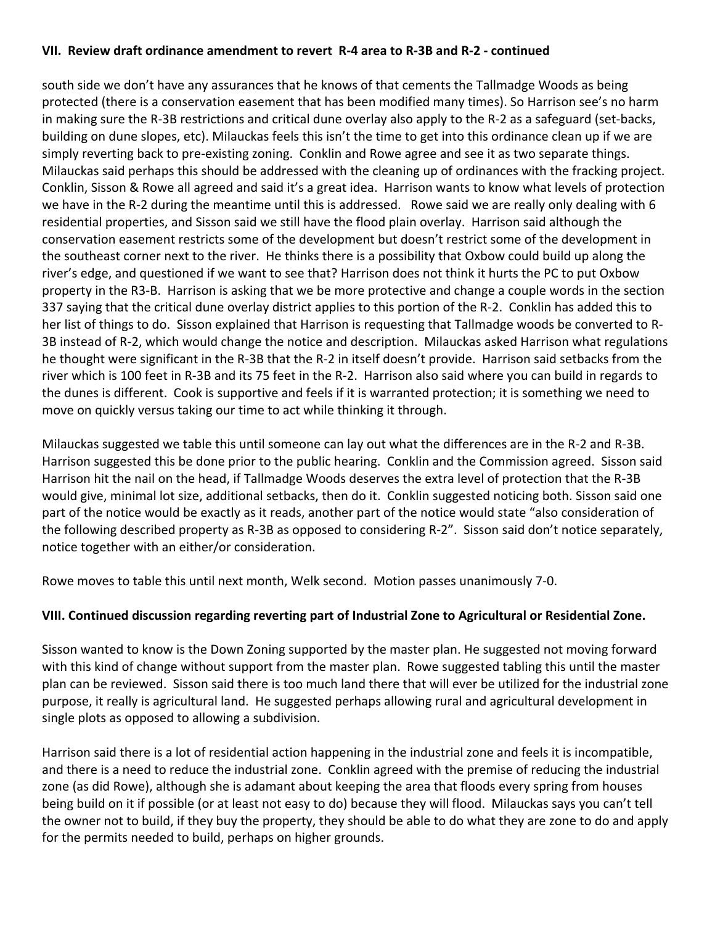#### **VII. Review draft ordinance amendment to revert R-4 area to R-3B and R-2 - continued**

south side we don't have any assurances that he knows of that cements the Tallmadge Woods as being protected (there is a conservation easement that has been modified many times). So Harrison see's no harm in making sure the R-3B restrictions and critical dune overlay also apply to the R-2 as a safeguard (set-backs, building on dune slopes, etc). Milauckas feels this isn't the time to get into this ordinance clean up if we are simply reverting back to pre-existing zoning. Conklin and Rowe agree and see it as two separate things. Milauckas said perhaps this should be addressed with the cleaning up of ordinances with the fracking project. Conklin, Sisson & Rowe all agreed and said it's a great idea. Harrison wants to know what levels of protection we have in the R-2 during the meantime until this is addressed. Rowe said we are really only dealing with 6 residential properties, and Sisson said we still have the flood plain overlay. Harrison said although the conservation easement restricts some of the development but doesn't restrict some of the development in the southeast corner next to the river. He thinks there is a possibility that Oxbow could build up along the river's edge, and questioned if we want to see that? Harrison does not think it hurts the PC to put Oxbow property in the R3-B. Harrison is asking that we be more protective and change a couple words in the section 337 saying that the critical dune overlay district applies to this portion of the R-2. Conklin has added this to her list of things to do. Sisson explained that Harrison is requesting that Tallmadge woods be converted to R-3B instead of R-2, which would change the notice and description. Milauckas asked Harrison what regulations he thought were significant in the R-3B that the R-2 in itself doesn't provide. Harrison said setbacks from the river which is 100 feet in R-3B and its 75 feet in the R-2. Harrison also said where you can build in regards to the dunes is different. Cook is supportive and feels if it is warranted protection; it is something we need to move on quickly versus taking our time to act while thinking it through.

Milauckas suggested we table this until someone can lay out what the differences are in the R-2 and R-3B. Harrison suggested this be done prior to the public hearing. Conklin and the Commission agreed. Sisson said Harrison hit the nail on the head, if Tallmadge Woods deserves the extra level of protection that the R-3B would give, minimal lot size, additional setbacks, then do it. Conklin suggested noticing both. Sisson said one part of the notice would be exactly as it reads, another part of the notice would state "also consideration of the following described property as R-3B as opposed to considering R-2". Sisson said don't notice separately, notice together with an either/or consideration.

Rowe moves to table this until next month, Welk second. Motion passes unanimously 7-0.

## **VIII. Continued discussion regarding reverting part of Industrial Zone to Agricultural or Residential Zone.**

Sisson wanted to know is the Down Zoning supported by the master plan. He suggested not moving forward with this kind of change without support from the master plan. Rowe suggested tabling this until the master plan can be reviewed. Sisson said there is too much land there that will ever be utilized for the industrial zone purpose, it really is agricultural land. He suggested perhaps allowing rural and agricultural development in single plots as opposed to allowing a subdivision.

Harrison said there is a lot of residential action happening in the industrial zone and feels it is incompatible, and there is a need to reduce the industrial zone. Conklin agreed with the premise of reducing the industrial zone (as did Rowe), although she is adamant about keeping the area that floods every spring from houses being build on it if possible (or at least not easy to do) because they will flood. Milauckas says you can't tell the owner not to build, if they buy the property, they should be able to do what they are zone to do and apply for the permits needed to build, perhaps on higher grounds.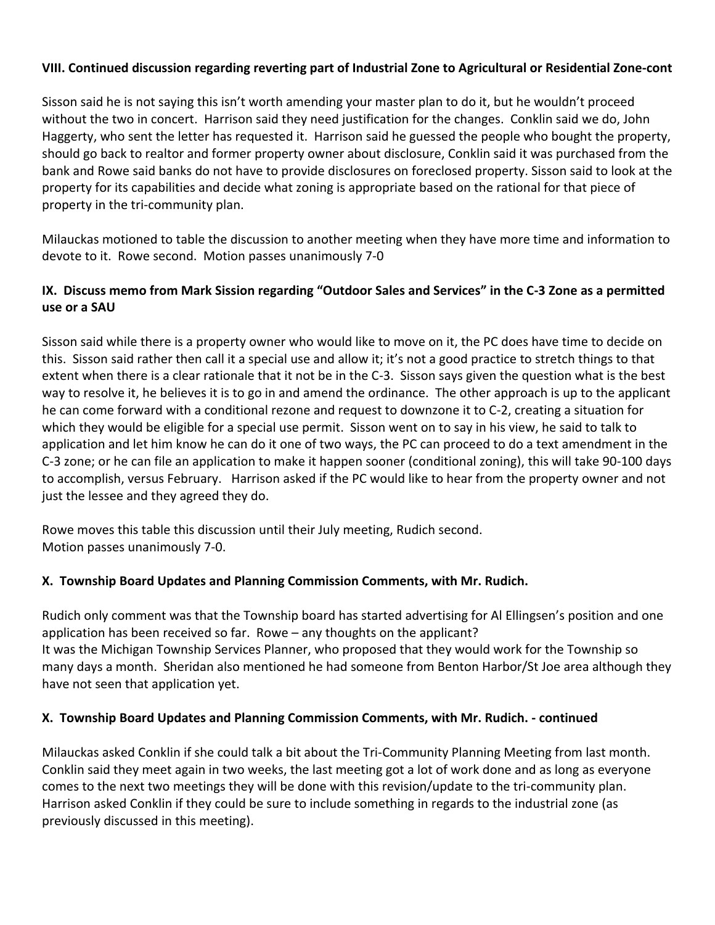## **VIII. Continued discussion regarding reverting part of Industrial Zone to Agricultural or Residential Zone-cont**

Sisson said he is not saying this isn't worth amending your master plan to do it, but he wouldn't proceed without the two in concert. Harrison said they need justification for the changes. Conklin said we do, John Haggerty, who sent the letter has requested it. Harrison said he guessed the people who bought the property, should go back to realtor and former property owner about disclosure, Conklin said it was purchased from the bank and Rowe said banks do not have to provide disclosures on foreclosed property. Sisson said to look at the property for its capabilities and decide what zoning is appropriate based on the rational for that piece of property in the tri-community plan.

Milauckas motioned to table the discussion to another meeting when they have more time and information to devote to it. Rowe second. Motion passes unanimously 7-0

# **IX. Discuss memo from Mark Sission regarding "Outdoor Sales and Services" in the C-3 Zone as a permitted use or a SAU**

Sisson said while there is a property owner who would like to move on it, the PC does have time to decide on this. Sisson said rather then call it a special use and allow it; it's not a good practice to stretch things to that extent when there is a clear rationale that it not be in the C-3. Sisson says given the question what is the best way to resolve it, he believes it is to go in and amend the ordinance. The other approach is up to the applicant he can come forward with a conditional rezone and request to downzone it to C-2, creating a situation for which they would be eligible for a special use permit. Sisson went on to say in his view, he said to talk to application and let him know he can do it one of two ways, the PC can proceed to do a text amendment in the C-3 zone; or he can file an application to make it happen sooner (conditional zoning), this will take 90-100 days to accomplish, versus February. Harrison asked if the PC would like to hear from the property owner and not just the lessee and they agreed they do.

Rowe moves this table this discussion until their July meeting, Rudich second. Motion passes unanimously 7-0.

## **X. Township Board Updates and Planning Commission Comments, with Mr. Rudich.**

Rudich only comment was that the Township board has started advertising for Al Ellingsen's position and one application has been received so far. Rowe – any thoughts on the applicant? It was the Michigan Township Services Planner, who proposed that they would work for the Township so many days a month. Sheridan also mentioned he had someone from Benton Harbor/St Joe area although they have not seen that application yet.

#### **X. Township Board Updates and Planning Commission Comments, with Mr. Rudich. - continued**

Milauckas asked Conklin if she could talk a bit about the Tri-Community Planning Meeting from last month. Conklin said they meet again in two weeks, the last meeting got a lot of work done and as long as everyone comes to the next two meetings they will be done with this revision/update to the tri-community plan. Harrison asked Conklin if they could be sure to include something in regards to the industrial zone (as previously discussed in this meeting).